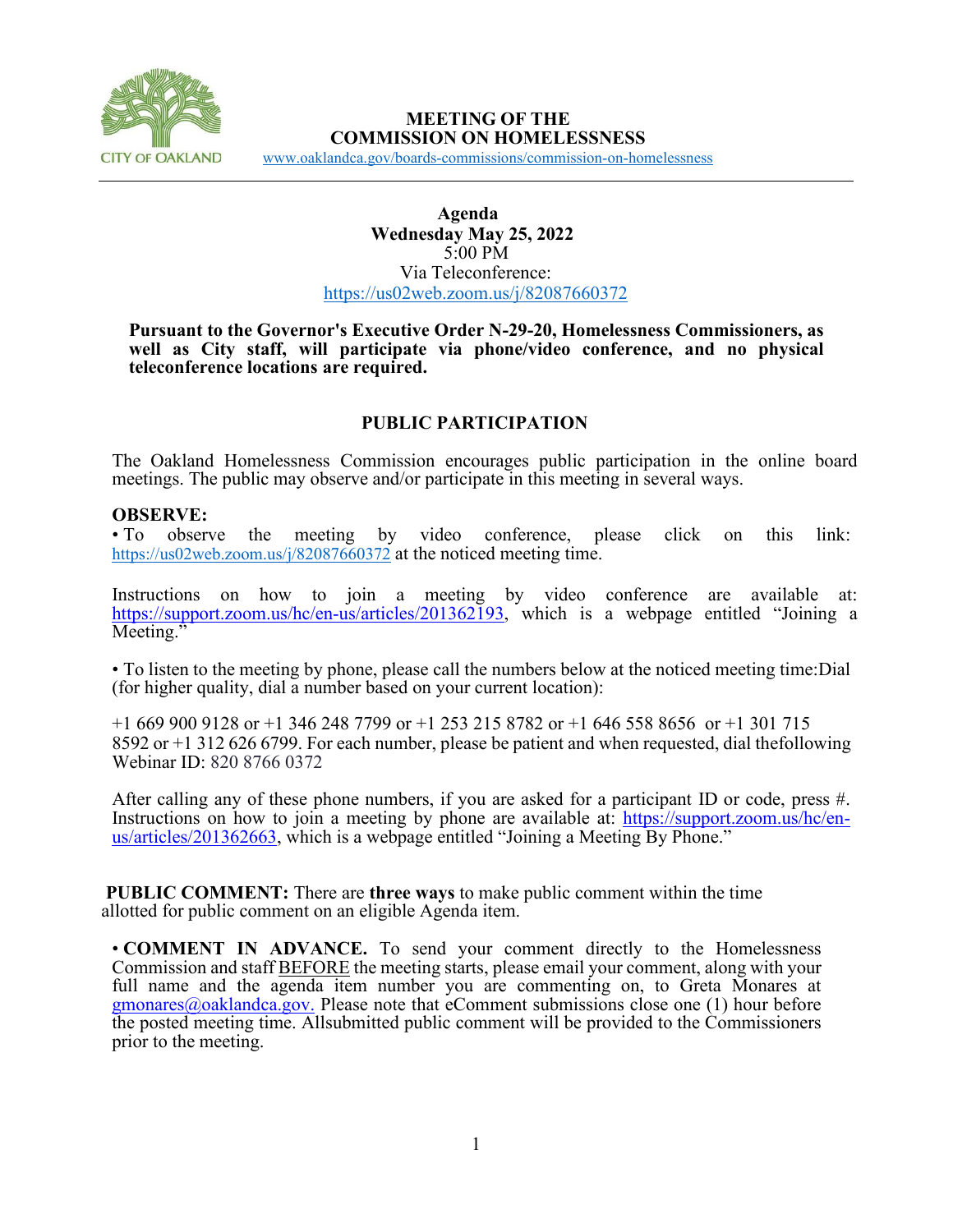

# **MEETING OF THE COMMISSION ON HOMELESSNESS**

[www.oaklandca.gov/boards-commissions/commission-on-homelessness](https://www.oaklandca.gov/boards-commissions/commission-on-homelessness/meetings)

#### **Agenda Wednesday May 25, 2022** 5:00 PM Via Teleconference: <https://us02web.zoom.us/j/82087660372>

#### **Pursuant to the Governor's Executive Order N-29-20, Homelessness Commissioners, as well as City staff, will participate via phone/video conference, and no physical teleconference locations are required.**

# **PUBLIC PARTICIPATION**

The Oakland Homelessness Commission encourages public participation in the online board meetings. The public may observe and/or participate in this meeting in several ways.

#### **OBSERVE:**

• To observe the meeting by video conference, please click on this link: <https://us02web.zoom.us/j/82087660372> at the noticed meeting time.

Instructions on how to join a meeting by video conference are available at: [https://support.zoom.us/hc/en-us/articles/201362193,](https://support.zoom.us/hc/en-us/articles/201362193) which is a webpage entitled "Joining a Meeting."

• To listen to the meeting by phone, please call the numbers below at the noticed meeting time:Dial (for higher quality, dial a number based on your current location):

+1 669 900 9128 or +1 346 248 7799 or +1 253 215 8782 or +1 646 558 8656 or +1 301 715 8592 or +1 312 626 6799. For each number, please be patient and when requested, dial thefollowing Webinar ID: 820 8766 0372

After calling any of these phone numbers, if you are asked for a participant ID or code, press #. Instructions on how to join a meeting by phone are available at: [https://support.zoom.us/hc/en-](https://support.zoom.us/hc/en-us/articles/201362663)<br>[us/articles/201362663,](https://support.zoom.us/hc/en-us/articles/201362663) which is a webpage entitled "Joining a Meeting By Phone."

**PUBLIC COMMENT:** There are **three ways** to make public comment within the time allotted for public comment on an eligible Agenda item.

• **COMMENT IN ADVANCE.** To send your comment directly to the Homelessness Commission and staff BEFORE the meeting starts, please email your comment, along with your full name and the agenda item number you are commenting on, to Greta Monares at  $g$ monares $@$ oaklandca.gov. Please note that eComment submissions close one (1) hour before the posted meeting time. Allsubmitted public comment will be provided to the Commissioners prior to the meeting.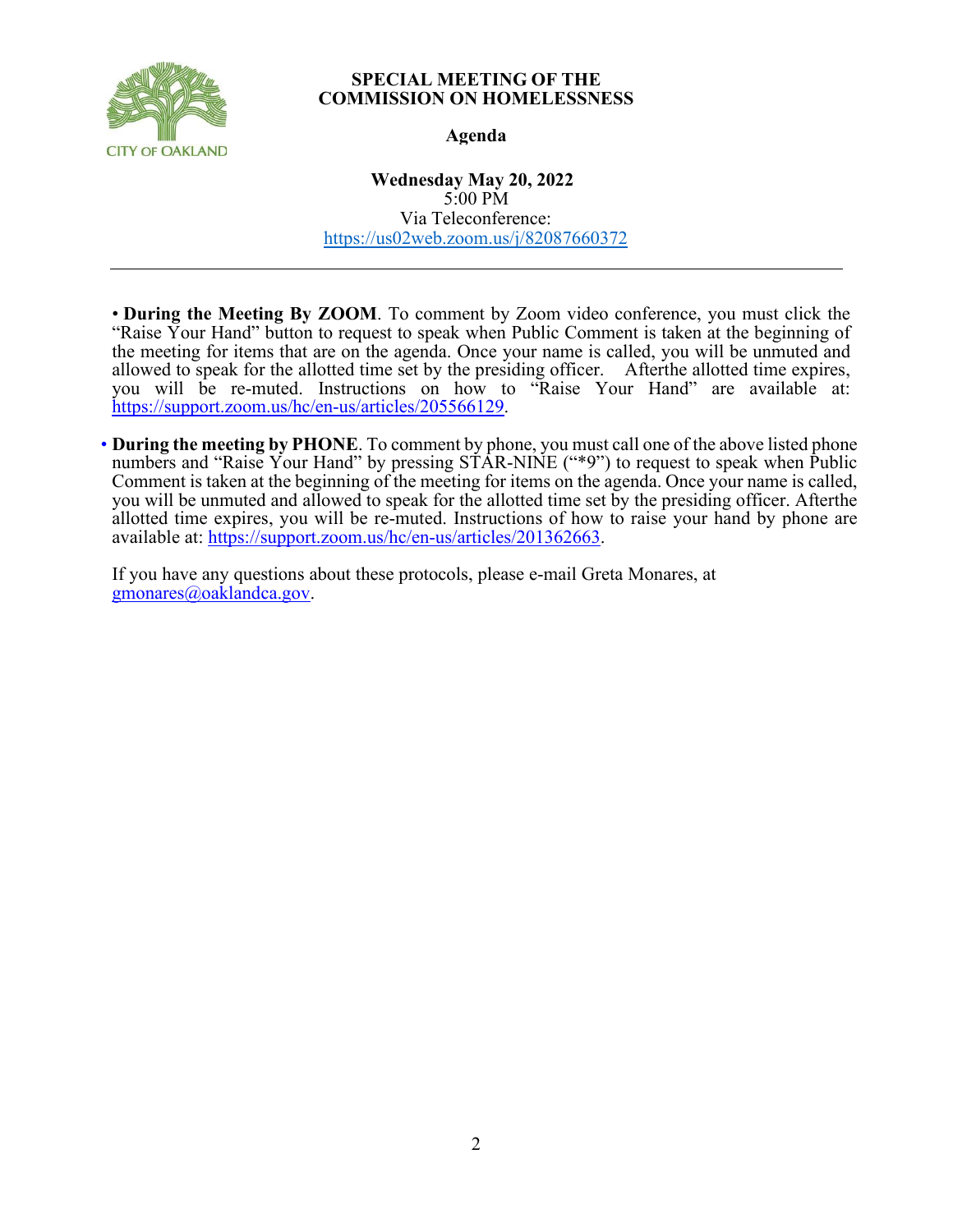

#### **SPECIAL MEETING OF THE COMMISSION ON HOMELESSNESS**

### **Agenda**

**Wednesday May 20, 2022** 5:00 PM Via Teleconference: <https://us02web.zoom.us/j/82087660372>

• **During the Meeting By ZOOM**. To comment by Zoom video conference, you must click the "Raise Your Hand" button to request to speak when Public Comment is taken at the beginning of the meeting for items that are on the agenda. Once your name is called, you will be unmuted and allowed to speak for the allotted time set by the presiding officer. Afterthe allotted time expires, you will be re-muted. Instructions on how to "Raise Your Hand" are available at: [https://support.zoom.us/hc/en-us/articles/205566129.](https://support.zoom.us/hc/en-us/articles/205566129)

• **During the meeting by PHONE**. To comment by phone, you must call one of the above listed phone numbers and "Raise Your Hand" by pressing STAR-NINE ("\*9") to request to speak when Public Comment is taken at the beginning of the meeting for items on the agenda. Once your name is called, you will be unmuted and allowed to speak for the allotted time set by the presiding officer. Afterthe allotted time expires, you will be re-muted. Instructions of how to raise your hand by phone are available at: https://support.zoom.us/hc/en-us/articles/201362663.

If you have any questions about these protocols, please e-mail Greta Monares, at [gmonares@oaklandca.gov.](mailto:gmonares@oaklandca.gov)